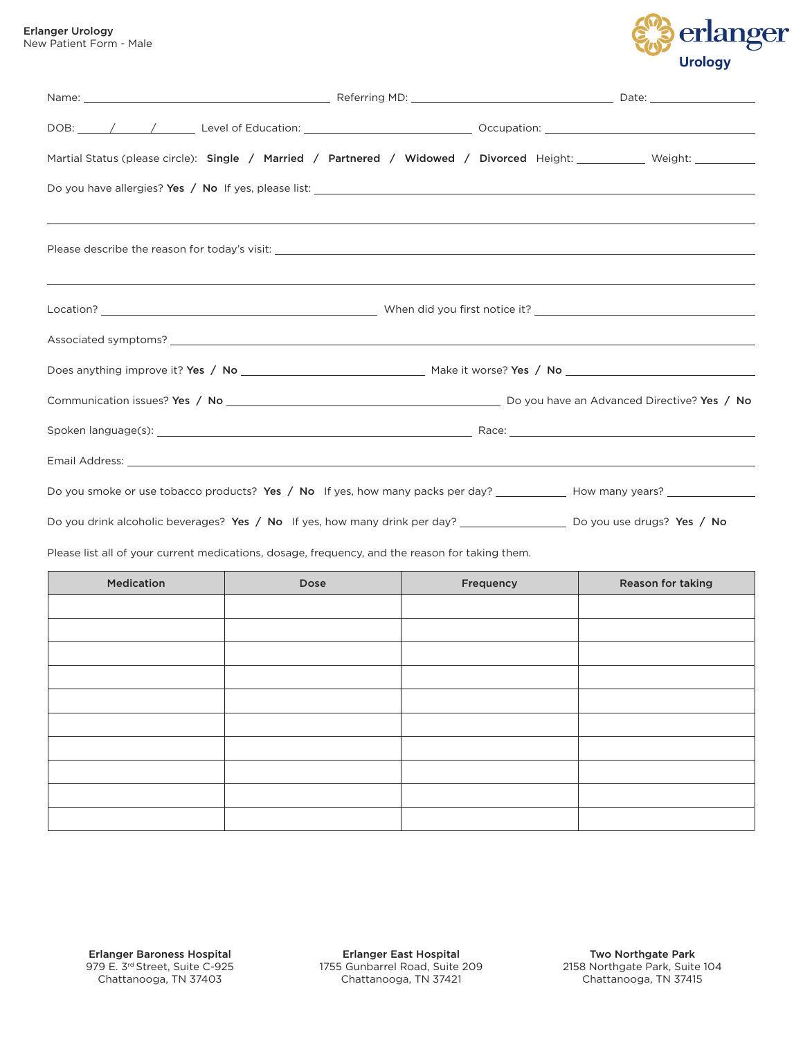

| Martial Status (please circle): Single / Married / Partnered / Widowed / Divorced Height: __________ Weight: _________      |  |  |
|-----------------------------------------------------------------------------------------------------------------------------|--|--|
|                                                                                                                             |  |  |
| ,我们也不会有什么?""我们的人,我们也不会有什么?""我们的人,我们也不会有什么?""我们的人,我们也不会有什么?""我们的人,我们也不会有什么?""我们的人                                            |  |  |
|                                                                                                                             |  |  |
|                                                                                                                             |  |  |
|                                                                                                                             |  |  |
|                                                                                                                             |  |  |
|                                                                                                                             |  |  |
|                                                                                                                             |  |  |
|                                                                                                                             |  |  |
| Do you drink alcoholic beverages? Yes / No If yes, how many drink per day? _____________________ Do you use drugs? Yes / No |  |  |
| Please list all of your current medications, dosage, frequency, and the reason for taking them.                             |  |  |

| Medication | Dose | Frequency | Reason for taking |
|------------|------|-----------|-------------------|
|            |      |           |                   |
|            |      |           |                   |
|            |      |           |                   |
|            |      |           |                   |
|            |      |           |                   |
|            |      |           |                   |
|            |      |           |                   |
|            |      |           |                   |
|            |      |           |                   |
|            |      |           |                   |
|            |      |           |                   |

Erlanger East Hospital 1755 Gunbarrel Road, Suite 209 Chattanooga, TN 37421

Two Northgate Park 2158 Northgate Park, Suite 104 Chattanooga, TN 37415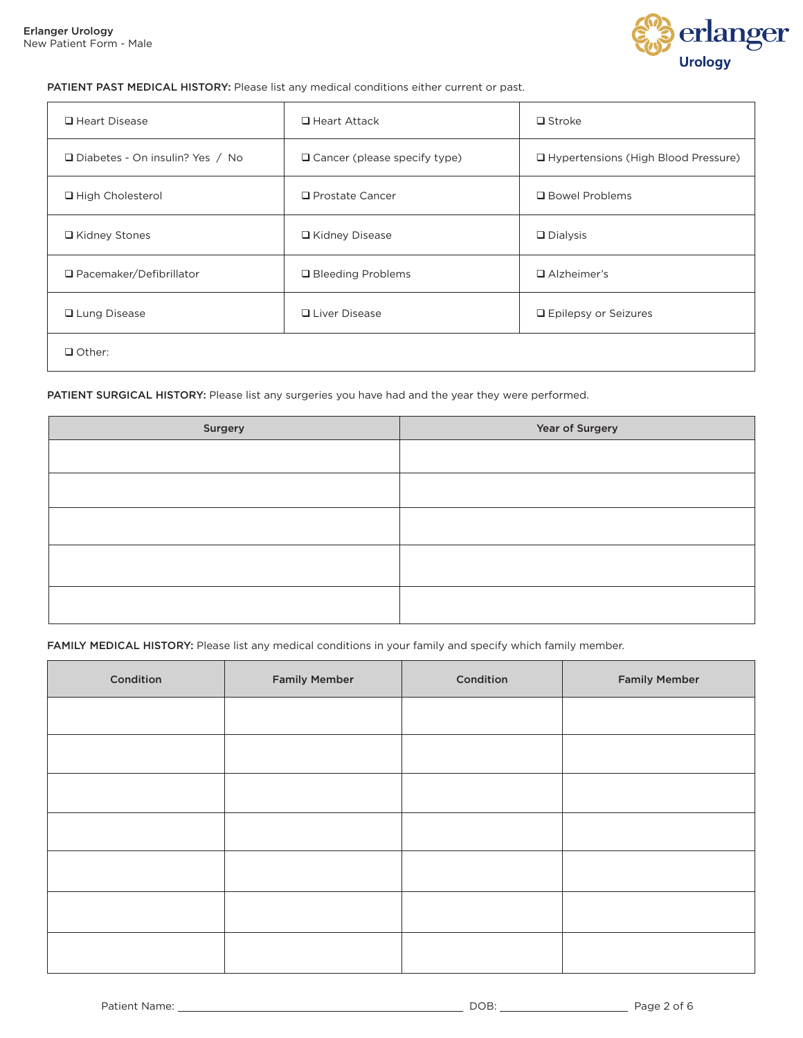

### PATIENT PAST MEDICAL HISTORY: Please list any medical conditions either current or past.

| $\Box$ Heart Disease              | $\Box$ Heart Attack                 | $\Box$ Stroke                         |
|-----------------------------------|-------------------------------------|---------------------------------------|
| □ Diabetes - On insulin? Yes / No | $\Box$ Cancer (please specify type) | □ Hypertensions (High Blood Pressure) |
| □ High Cholesterol                | $\Box$ Prostate Cancer              | □ Bowel Problems                      |
| □ Kidney Stones                   | □ Kidney Disease                    | $\Box$ Dialysis                       |
| $\Box$ Pacemaker/Defibrillator    | □ Bleeding Problems                 | $\Box$ Alzheimer's                    |
| <b>□</b> Lung Disease             | <b>Q</b> Liver Disease              | □ Epilepsy or Seizures                |
| $\Box$ Other:                     |                                     |                                       |

### PATIENT SURGICAL HISTORY: Please list any surgeries you have had and the year they were performed.

| Surgery | Year of Surgery |
|---------|-----------------|
|         |                 |
|         |                 |
|         |                 |
|         |                 |
|         |                 |
|         |                 |
|         |                 |
|         |                 |

#### FAMILY MEDICAL HISTORY: Please list any medical conditions in your family and specify which family member.

| Condition | <b>Family Member</b> | Condition | <b>Family Member</b> |
|-----------|----------------------|-----------|----------------------|
|           |                      |           |                      |
|           |                      |           |                      |
|           |                      |           |                      |
|           |                      |           |                      |
|           |                      |           |                      |
|           |                      |           |                      |
|           |                      |           |                      |
|           |                      |           |                      |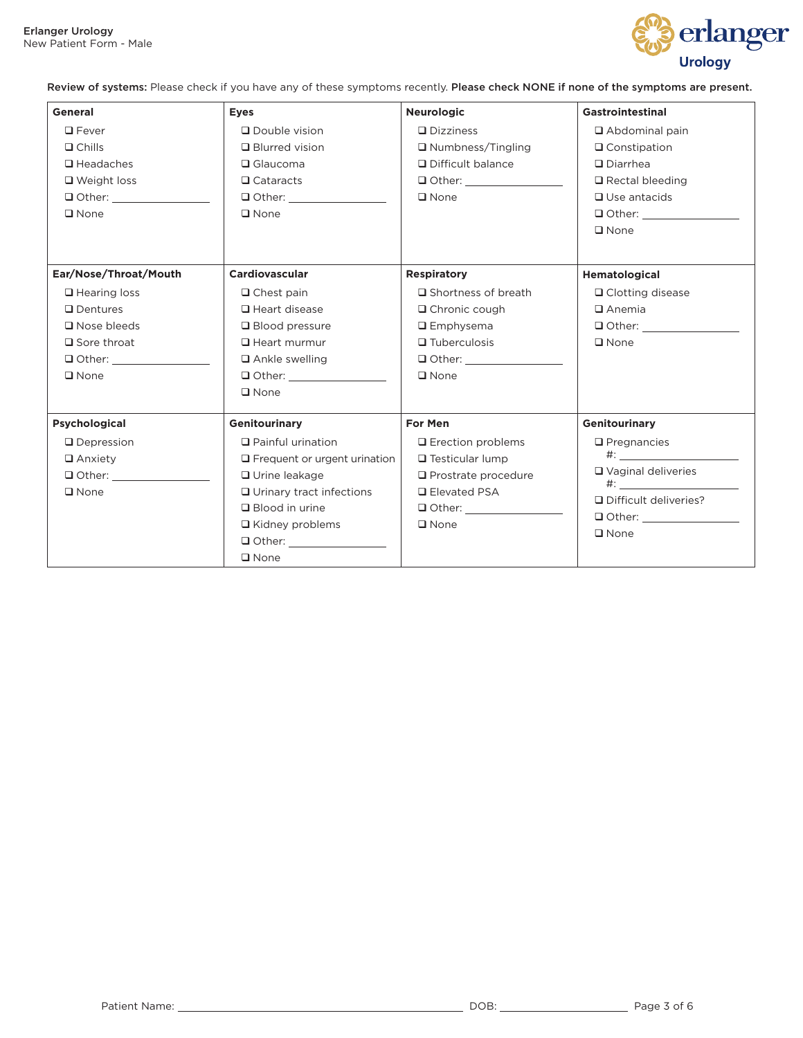

Review of systems: Please check if you have any of these symptoms recently. Please check NONE if none of the symptoms are present.

| General               | <b>Eyes</b>                         | <b>Neurologic</b>             | Gastrointestinal          |
|-----------------------|-------------------------------------|-------------------------------|---------------------------|
| $\Box$ Fever          | $\Box$ Double vision                | $\Box$ Dizziness              | $\Box$ Abdominal pain     |
| $\Box$ Chills         | <b>Q</b> Blurred vision             | $\Box$ Numbness/Tingling      | $\Box$ Constipation       |
| $\Box$ Headaches      | $\Box$ Glaucoma                     | □ Difficult balance           | $\square$ Diarrhea        |
| $\Box$ Weight loss    | $\Box$ Cataracts                    | $\Box$ Other: $\Box$          | $\Box$ Rectal bleeding    |
| $\Box$ Other:         |                                     | $\Box$ None                   | $\Box$ Use antacids       |
| $\square$ None        | $\square$ None                      |                               | $\Box$ Other:             |
|                       |                                     |                               | $\square$ None            |
| Ear/Nose/Throat/Mouth | Cardiovascular                      | <b>Respiratory</b>            | Hematological             |
| $\Box$ Hearing loss   | $\Box$ Chest pain                   | $\square$ Shortness of breath | □ Clotting disease        |
| $\Box$ Dentures       | $\Box$ Heart disease                | $\Box$ Chronic cough          | $\Box$ Anemia             |
| $\Box$ Nose bleeds    | $\Box$ Blood pressure               | $\Box$ Emphysema              | $\Box$ Other:             |
| $\Box$ Sore throat    | $\Box$ Heart murmur                 | $\Box$ Tuberculosis           | $\square$ None            |
| $\Box$ Other:         | $\Box$ Ankle swelling               | $\Box$ Other: $\Box$          |                           |
| $\square$ None        | $\Box$ Other:                       | $\Box$ None                   |                           |
|                       | $\square$ None                      |                               |                           |
| <b>Psychological</b>  | <b>Genitourinary</b>                | For Men                       | <b>Genitourinary</b>      |
| $\Box$ Depression     | $\Box$ Painful urination            | $\Box$ Erection problems      | $\Box$ Pregnancies        |
| $\Box$ Anxiety        | $\Box$ Frequent or urgent urination | $\Box$ Testicular lump        | $\#$ :                    |
| $\Box$ Other:         | □ Urine leakage                     | $\Box$ Prostrate procedure    | $\Box$ Vaginal deliveries |
| $\square$ None        | $\Box$ Urinary tract infections     | <b>□</b> Elevated PSA         |                           |
|                       | $\Box$ Blood in urine               | $\Box$ Other:                 | Difficult deliveries?     |
|                       | $\Box$ Kidney problems              | $\Box$ None                   |                           |
|                       | Other: _________________            |                               | $\square$ None            |
|                       | $\Box$ None                         |                               |                           |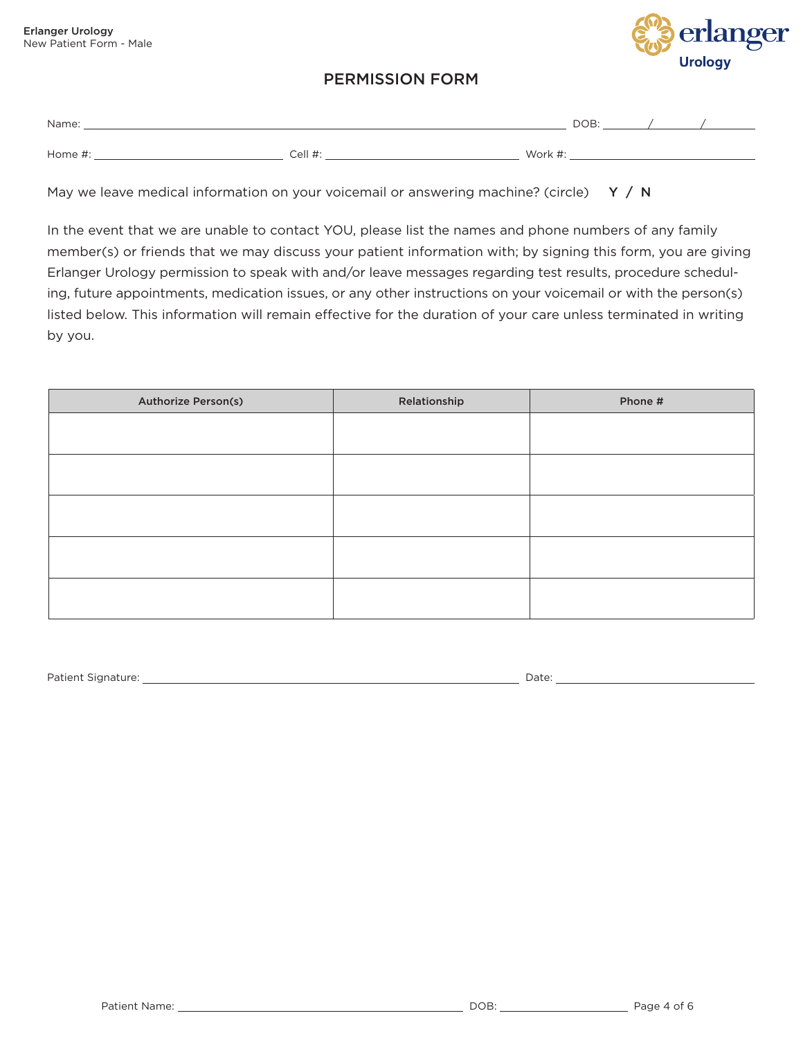

## PERMISSION FORM

| Name:   |         |        | DOB: |  |
|---------|---------|--------|------|--|
| Home #. | Cell #: | Work # |      |  |

May we leave medical information on your voicemail or answering machine? (circle)  $Y / N$ 

In the event that we are unable to contact YOU, please list the names and phone numbers of any family member(s) or friends that we may discuss your patient information with; by signing this form, you are giving Erlanger Urology permission to speak with and/or leave messages regarding test results, procedure scheduling, future appointments, medication issues, or any other instructions on your voicemail or with the person(s) listed below. This information will remain effective for the duration of your care unless terminated in writing by you.

| <b>Authorize Person(s)</b> | Relationship | Phone # |
|----------------------------|--------------|---------|
|                            |              |         |
|                            |              |         |
|                            |              |         |
|                            |              |         |
|                            |              |         |
|                            |              |         |
|                            |              |         |
|                            |              |         |
|                            |              |         |
|                            |              |         |

Patient Signature: Date: Date: Date: Date: Date: Date: Date: Date: Date: Date: Date: Date: Date: Date: Date: Date: Date: Date: Date: Date: Date: Date: Date: Date: Date: Date: Date: Date: Date: Date: Date: Date: Date: Date: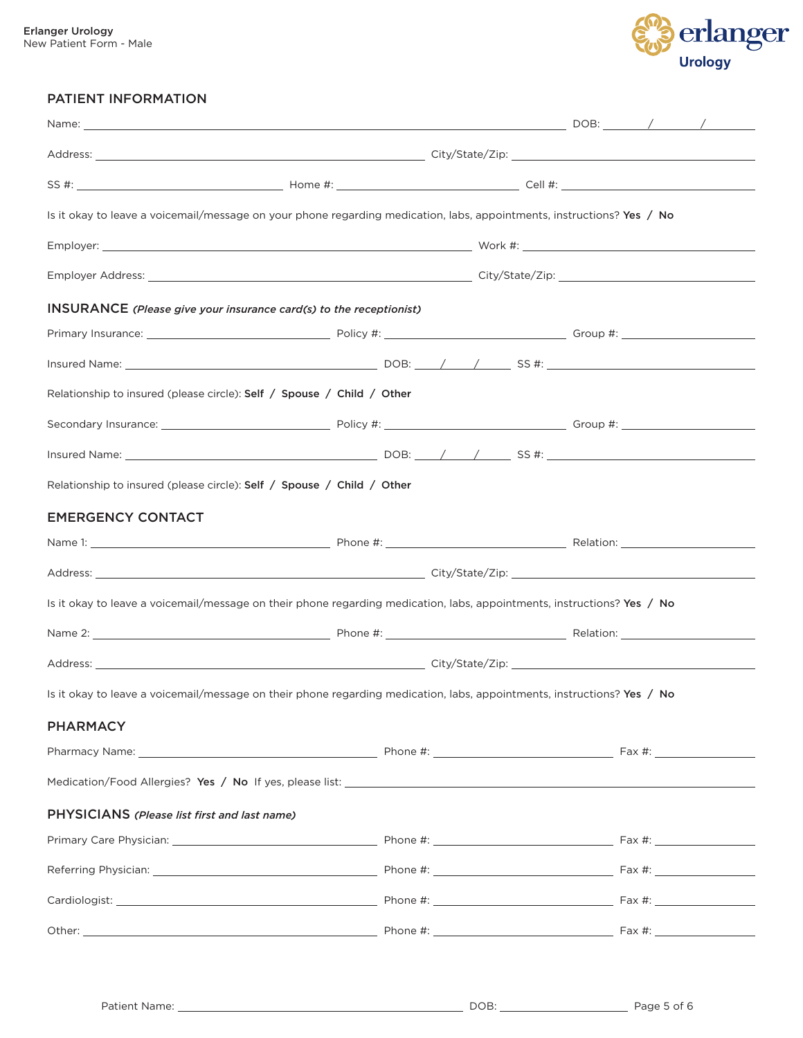

### PATIENT INFORMATION

| Is it okay to leave a voicemail/message on your phone regarding medication, labs, appointments, instructions? Yes / No  |  |  |  |
|-------------------------------------------------------------------------------------------------------------------------|--|--|--|
|                                                                                                                         |  |  |  |
|                                                                                                                         |  |  |  |
| INSURANCE (Please give your insurance card(s) to the receptionist)                                                      |  |  |  |
|                                                                                                                         |  |  |  |
|                                                                                                                         |  |  |  |
| Relationship to insured (please circle): Self / Spouse / Child / Other                                                  |  |  |  |
|                                                                                                                         |  |  |  |
|                                                                                                                         |  |  |  |
| Relationship to insured (please circle): Self / Spouse / Child / Other                                                  |  |  |  |
| <b>EMERGENCY CONTACT</b>                                                                                                |  |  |  |
|                                                                                                                         |  |  |  |
|                                                                                                                         |  |  |  |
| Is it okay to leave a voicemail/message on their phone regarding medication, labs, appointments, instructions? Yes / No |  |  |  |
|                                                                                                                         |  |  |  |
|                                                                                                                         |  |  |  |
| Is it okay to leave a voicemail/message on their phone regarding medication, labs, appointments, instructions? Yes / No |  |  |  |
| <b>PHARMACY</b>                                                                                                         |  |  |  |
|                                                                                                                         |  |  |  |
|                                                                                                                         |  |  |  |
| PHYSICIANS (Please list first and last name)                                                                            |  |  |  |
|                                                                                                                         |  |  |  |
|                                                                                                                         |  |  |  |
|                                                                                                                         |  |  |  |
|                                                                                                                         |  |  |  |
|                                                                                                                         |  |  |  |